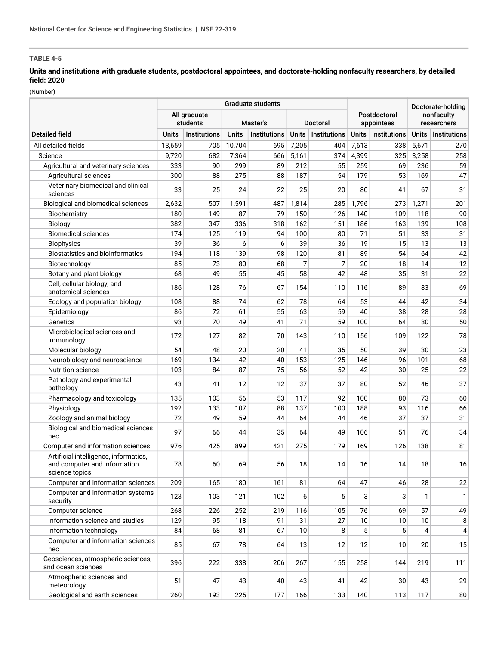# **Units and institutions with graduate students, postdoctoral appointees, and doctorate-holding nonfaculty researchers, by detailed field: 2020**

(Number)

|                                                                                         | <b>Graduate students</b> |                          |              |              |              |              |                            |              | Doctorate-holding |                           |
|-----------------------------------------------------------------------------------------|--------------------------|--------------------------|--------------|--------------|--------------|--------------|----------------------------|--------------|-------------------|---------------------------|
|                                                                                         |                          | All graduate<br>students |              | Master's     |              | Doctoral     | Postdoctoral<br>appointees |              |                   | nonfaculty<br>researchers |
| <b>Detailed field</b>                                                                   | <b>Units</b>             | Institutions             | <b>Units</b> | Institutions | <b>Units</b> | Institutions | <b>Units</b>               | Institutions | <b>Units</b>      | Institutions              |
| All detailed fields                                                                     | 13.659                   | 705                      | 10,704       | 695          | 7,205        | 404          | 7,613                      | 338          | 5,671             | 270                       |
| Science                                                                                 | 9,720                    | 682                      | 7,364        | 666          | 5,161        | 374          | 4,399                      | 325          | 3,258             | 258                       |
| Agricultural and veterinary sciences                                                    | 333                      | 90                       | 299          | 89           | 212          | 55           | 259                        | 69           | 236               | 59                        |
| Agricultural sciences                                                                   | 300                      | 88                       | 275          | 88           | 187          | 54           | 179                        | 53           | 169               | 47                        |
| Veterinary biomedical and clinical<br>sciences                                          | 33                       | 25                       | 24           | 22           | 25           | 20           | 80                         | 41           | 67                | 31                        |
| Biological and biomedical sciences                                                      | 2,632                    | 507                      | 1,591        | 487          | 1,814        | 285          | 1,796                      | 273          | 1,271             | 201                       |
| Biochemistry                                                                            | 180                      | 149                      | 87           | 79           | 150          | 126          | 140                        | 109          | 118               | 90                        |
| <b>Biology</b>                                                                          | 382                      | 347                      | 336          | 318          | 162          | 151          | 186                        | 163          | 139               | 108                       |
| <b>Biomedical sciences</b>                                                              | 174                      | 125                      | 119          | 94           | 100          | 80           | 71                         | 51           | 33                | 31                        |
| <b>Biophysics</b>                                                                       | 39                       | 36                       | 6            | 6            | 39           | 36           | 19                         | 15           | 13                | 13                        |
| <b>Biostatistics and bioinformatics</b>                                                 | 194                      | 118                      | 139          | 98           | 120          | 81           | 89                         | 54           | 64                | 42                        |
| Biotechnology                                                                           | 85                       | 73                       | 80           | 68           | 7            | 7            | 20                         | 18           | 14                | 12                        |
| Botany and plant biology                                                                | 68                       | 49                       | 55           | 45           | 58           | 42           | 48                         | 35           | 31                | 22                        |
| Cell, cellular biology, and<br>anatomical sciences                                      | 186                      | 128                      | 76           | 67           | 154          | 110          | 116                        | 89           | 83                | 69                        |
| Ecology and population biology                                                          | 108                      | 88                       | 74           | 62           | 78           | 64           | 53                         | 44           | 42                | 34                        |
| Epidemiology                                                                            | 86                       | 72                       | 61           | 55           | 63           | 59           | 40                         | 38           | 28                | 28                        |
| Genetics                                                                                | 93                       | 70                       | 49           | 41           | 71           | 59           | 100                        | 64           | 80                | 50                        |
| Microbiological sciences and<br>immunology                                              | 172                      | 127                      | 82           | 70           | 143          | 110          | 156                        | 109          | 122               | 78                        |
| Molecular biology                                                                       | 54                       | 48                       | 20           | 20           | 41           | 35           | 50                         | 39           | 30                | 23                        |
| Neurobiology and neuroscience                                                           | 169                      | 134                      | 42           | 40           | 153          | 125          | 146                        | 96           | 101               | 68                        |
| <b>Nutrition science</b>                                                                | 103                      | 84                       | 87           | 75           | 56           | 52           | 42                         | 30           | 25                | 22                        |
| Pathology and experimental<br>pathology                                                 | 43                       | 41                       | 12           | 12           | 37           | 37           | 80                         | 52           | 46                | 37                        |
| Pharmacology and toxicology                                                             | 135                      | 103                      | 56           | 53           | 117          | 92           | 100                        | 80           | 73                | 60                        |
| Physiology                                                                              | 192                      | 133                      | 107          | 88           | 137          | 100          | 188                        | 93           | 116               | 66                        |
| Zoology and animal biology                                                              | 72                       | 49                       | 59           | 44           | 64           | 44           | 46                         | 37           | 37                | 31                        |
| Biological and biomedical sciences<br>nec                                               | 97                       | 66                       | 44           | 35           | 64           | 49           | 106                        | 51           | 76                | 34                        |
| Computer and information sciences                                                       | 976                      | 425                      | 899          | 421          | 275          | 179          | 169                        | 126          | 138               | 81                        |
| Artificial intelligence, informatics,<br>and computer and information<br>science topics | 78                       | 60                       | 69           | 56           | 18           | 14           | 16                         | 14           | 18                | 16                        |
| Computer and information sciences                                                       | 209                      | 165                      | 180          | 161          | 81           | 64           | 47                         | 46           | 28                | 22                        |
| Computer and information systems<br>security                                            | 123                      | 103                      | 121          | 102          | 6            | 5            | 3                          | 3            | $\mathbf{1}$      | 1                         |
| Computer science                                                                        | 268                      | 226                      | 252          | 219          | 116          | 105          | 76                         | 69           | 57                | 49                        |
| Information science and studies                                                         | 129                      | 95                       | 118          | 91           | 31           | 27           | 10                         | 10           | 10                | 8                         |
| Information technology                                                                  | 84                       | 68                       | 81           | 67           | 10           | 8            | 5                          | 5            | 4                 | $\vert 4 \vert$           |
| Computer and information sciences<br>nec                                                | 85                       | 67                       | 78           | 64           | 13           | 12           | 12                         | 10           | 20                | 15                        |
| Geosciences, atmospheric sciences,<br>and ocean sciences                                | 396                      | 222                      | 338          | 206          | 267          | 155          | 258                        | 144          | 219               | 111                       |
| Atmospheric sciences and<br>meteorology                                                 | 51                       | 47                       | 43           | 40           | 43           | 41           | 42                         | 30           | 43                | 29                        |
| Geological and earth sciences                                                           | 260                      | 193                      | 225          | 177          | 166          | 133          | 140                        | 113          | 117               | 80                        |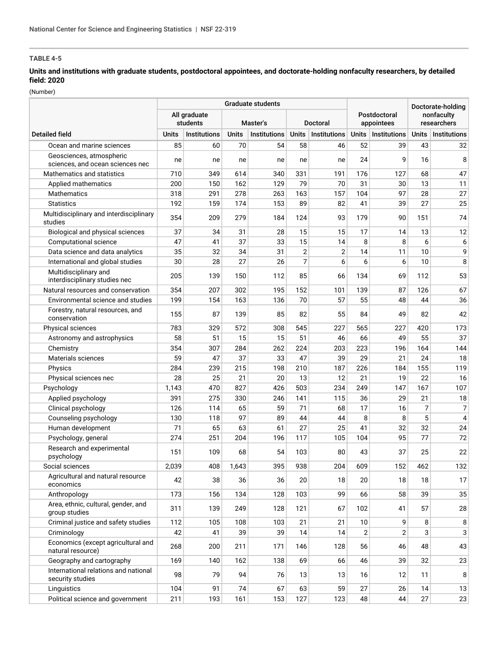# **Units and institutions with graduate students, postdoctoral appointees, and doctorate-holding nonfaculty researchers, by detailed field: 2020**

(Number)

|                                                              |                          |                     | Graduate students |                     |                |                | Doctorate-holding |                            |                |                           |  |
|--------------------------------------------------------------|--------------------------|---------------------|-------------------|---------------------|----------------|----------------|-------------------|----------------------------|----------------|---------------------------|--|
|                                                              | All graduate<br>students |                     |                   | Master's            |                | Doctoral       |                   | Postdoctoral<br>appointees |                | nonfaculty<br>researchers |  |
| <b>Detailed field</b>                                        | Units                    | <b>Institutions</b> | <b>Units</b>      | <b>Institutions</b> | <b>Units</b>   | Institutions   | <b>Units</b>      | <b>Institutions</b>        | Units          | <b>Institutions</b>       |  |
| Ocean and marine sciences                                    | 85                       | 60                  | 70                | 54                  | 58             | 46             | 52                | 39                         | 43             | 32                        |  |
| Geosciences, atmospheric<br>sciences, and ocean sciences nec | ne                       | ne                  | ne                | ne                  | ne             | ne             | 24                | 9                          | 16             | 8                         |  |
| Mathematics and statistics                                   | 710                      | 349                 | 614               | 340                 | 331            | 191            | 176               | 127                        | 68             | 47                        |  |
| Applied mathematics                                          | 200                      | 150                 | 162               | 129                 | 79             | 70             | 31                | 30                         | 13             | 11                        |  |
| Mathematics                                                  | 318                      | 291                 | 278               | 263                 | 163            | 157            | 104               | 97                         | 28             | 27                        |  |
| <b>Statistics</b>                                            | 192                      | 159                 | 174               | 153                 | 89             | 82             | 41                | 39                         | 27             | 25                        |  |
| Multidisciplinary and interdisciplinary<br>studies           | 354                      | 209                 | 279               | 184                 | 124            | 93             | 179               | 90                         | 151            | 74                        |  |
| Biological and physical sciences                             | 37                       | 34                  | 31                | 28                  | 15             | 15             | 17                | 14                         | 13             | 12                        |  |
| Computational science                                        | 47                       | 41                  | 37                | 33                  | 15             | 14             | 8                 | 8                          | 6              | 6                         |  |
| Data science and data analytics                              | 35                       | 32                  | 34                | 31                  | $\overline{2}$ | $\overline{c}$ | 14                | 11                         | 10             | 9                         |  |
| International and global studies                             | 30                       | 28                  | 27                | 26                  | 7              | 6              | 6                 | 6                          | 10             | 8                         |  |
| Multidisciplinary and<br>interdisciplinary studies nec       | 205                      | 139                 | 150               | 112                 | 85             | 66             | 134               | 69                         | 112            | 53                        |  |
| Natural resources and conservation                           | 354                      | 207                 | 302               | 195                 | 152            | 101            | 139               | 87                         | 126            | 67                        |  |
| Environmental science and studies                            | 199                      | 154                 | 163               | 136                 | 70             | 57             | 55                | 48                         | 44             | 36                        |  |
| Forestry, natural resources, and<br>conservation             | 155                      | 87                  | 139               | 85                  | 82             | 55             | 84                | 49                         | 82             | 42                        |  |
| Physical sciences                                            | 783                      | 329                 | 572               | 308                 | 545            | 227            | 565               | 227                        | 420            | 173                       |  |
| Astronomy and astrophysics                                   | 58                       | 51                  | 15                | 15                  | 51             | 46             | 66                | 49                         | 55             | 37                        |  |
| Chemistry                                                    | 354                      | 307                 | 284               | 262                 | 224            | 203            | 223               | 196                        | 164            | 144                       |  |
| Materials sciences                                           | 59                       | 47                  | 37                | 33                  | 47             | 39             | 29                | 21                         | 24             | 18                        |  |
| Physics                                                      | 284                      | 239                 | 215               | 198                 | 210            | 187            | 226               | 184                        | 155            | 119                       |  |
| Physical sciences nec                                        | 28                       | 25                  | 21                | 20                  | 13             | 12             | 21                | 19                         | 22             | 16                        |  |
| Psychology                                                   | 1,143                    | 470                 | 827               | 426                 | 503            | 234            | 249               | 147                        | 167            | 107                       |  |
| Applied psychology                                           | 391                      | 275                 | 330               | 246                 | 141            | 115            | 36                | 29                         | 21             | $18$                      |  |
| Clinical psychology                                          | 126                      | 114                 | 65                | 59                  | 71             | 68             | 17                | 16                         | $\overline{7}$ | $\overline{7}$            |  |
| Counseling psychology                                        | 130                      | 118                 | 97                | 89                  | 44             | 44             | 8                 | 8                          | 5              | 4                         |  |
| Human development                                            | 71                       | 65                  | 63                | 61                  | 27             | 25             | 41                | 32                         | 32             | 24                        |  |
| Psychology, general                                          | 274                      | 251                 | 204               | 196                 | 117            | 105            | 104               | 95                         | 77             | 72                        |  |
| Research and experimental<br>psychology                      | 151                      | 109                 | 68                | 54                  | 103            | 80             | 43                | 37                         | 25             | 22                        |  |
| Social sciences                                              | 2,039                    | 408                 | 1,643             | 395                 | 938            | 204            | 609               | 152                        | 462            | 132                       |  |
| Agricultural and natural resource<br>economics               | 42                       | 38                  | 36                | 36                  | 20             | 18             | 20                | 18                         | 18             | 17                        |  |
| Anthropology                                                 | 173                      | 156                 | 134               | 128                 | 103            | 99             | 66                | 58                         | 39             | 35                        |  |
| Area, ethnic, cultural, gender, and<br>group studies         | 311                      | 139                 | 249               | 128                 | 121            | 67             | 102               | 41                         | 57             | 28                        |  |
| Criminal justice and safety studies                          | 112                      | 105                 | 108               | 103                 | 21             | 21             | 10                | 9                          | 8              | 8                         |  |
| Criminology                                                  | 42                       | 41                  | 39                | 39                  | 14             | 14             | $\overline{2}$    | $\overline{2}$             | 3              | 3                         |  |
| Economics (except agricultural and<br>natural resource)      | 268                      | 200                 | 211               | 171                 | 146            | 128            | 56                | 46                         | 48             | 43                        |  |
| Geography and cartography                                    | 169                      | 140                 | 162               | 138                 | 69             | 66             | 46                | 39                         | 32             | 23                        |  |
| International relations and national<br>security studies     | 98                       | 79                  | 94                | 76                  | 13             | 13             | 16                | 12                         | 11             | 8                         |  |
| Linguistics                                                  | 104                      | 91                  | 74                | 67                  | 63             | 59             | 27                | 26                         | 14             | 13                        |  |
| Political science and government                             | 211                      | 193                 | 161               | 153                 | 127            | 123            | 48                | 44                         | 27             | 23                        |  |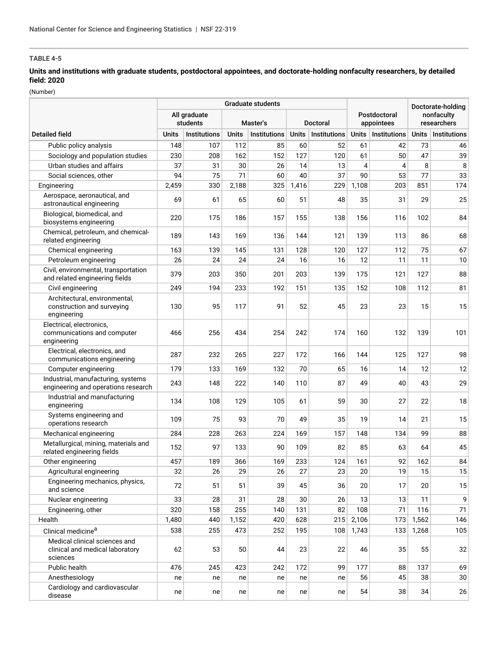# **Units and institutions with graduate students, postdoctoral appointees, and doctorate-holding nonfaculty researchers, by detailed field: 2020**

(Number)

|                                                                              | Graduate students                                       |                     |              |              |              |                            |                           |                     | Doctorate-holding |                     |
|------------------------------------------------------------------------------|---------------------------------------------------------|---------------------|--------------|--------------|--------------|----------------------------|---------------------------|---------------------|-------------------|---------------------|
|                                                                              | All graduate<br>students<br>Master's<br><b>Doctoral</b> |                     |              |              |              | Postdoctoral<br>appointees | nonfaculty<br>researchers |                     |                   |                     |
| <b>Detailed field</b>                                                        | Units                                                   | <b>Institutions</b> | <b>Units</b> | Institutions | <b>Units</b> | Institutions               | <b>Units</b>              | <b>Institutions</b> | <b>Units</b>      | <b>Institutions</b> |
| Public policy analysis                                                       | 148                                                     | 107                 | 112          | 85           | 60           | 52                         | 61                        | 42                  | 73                | 46                  |
| Sociology and population studies                                             | 230                                                     | 208                 | 162          | 152          | 127          | 120                        | 61                        | 50                  | 47                | 39                  |
| Urban studies and affairs                                                    | 37                                                      | 31                  | 30           | 26           | 14           | 13                         | 4                         | 4                   | 8                 | 8                   |
| Social sciences, other                                                       | 94                                                      | 75                  | 71           | 60           | 40           | 37                         | 90                        | 53                  | 77                | 33                  |
| Engineering                                                                  | 2,459                                                   | 330                 | 2,188        | 325          | 1,416        | 229                        | 1,108                     | 203                 | 851               | 174                 |
| Aerospace, aeronautical, and<br>astronautical engineering                    | 69                                                      | 61                  | 65           | 60           | 51           | 48                         | 35                        | 31                  | 29                | 25                  |
| Biological, biomedical, and<br>biosystems engineering                        | 220                                                     | 175                 | 186          | 157          | 155          | 138                        | 156                       | 116                 | 102               | 84                  |
| Chemical, petroleum, and chemical-<br>related engineering                    | 189                                                     | 143                 | 169          | 136          | 144          | 121                        | 139                       | 113                 | 86                | 68                  |
| Chemical engineering                                                         | 163                                                     | 139                 | 145          | 131          | 128          | 120                        | 127                       | 112                 | 75                | 67                  |
| Petroleum engineering                                                        | 26                                                      | 24                  | 24           | 24           | 16           | 16                         | 12                        | 11                  | 11                | 10                  |
| Civil, environmental, transportation<br>and related engineering fields       | 379                                                     | 203                 | 350          | 201          | 203          | 139                        | 175                       | 121                 | 127               | 88                  |
| Civil engineering                                                            | 249                                                     | 194                 | 233          | 192          | 151          | 135                        | 152                       | 108                 | 112               | 81                  |
| Architectural, environmental,<br>construction and surveying<br>engineering   | 130                                                     | 95                  | 117          | 91           | 52           | 45                         | 23                        | 23                  | 15                | 15                  |
| Electrical, electronics,<br>communications and computer<br>engineering       | 466                                                     | 256                 | 434          | 254          | 242          | 174                        | 160                       | 132                 | 139               | 101                 |
| Electrical, electronics, and<br>communications engineering                   | 287                                                     | 232                 | 265          | 227          | 172          | 166                        | 144                       | 125                 | 127               | 98                  |
| Computer engineering                                                         | 179                                                     | 133                 | 169          | 132          | 70           | 65                         | 16                        | 14                  | 12                | 12                  |
| Industrial, manufacturing, systems<br>engineering and operations research    | 243                                                     | 148                 | 222          | 140          | 110          | 87                         | 49                        | 40                  | 43                | 29                  |
| Industrial and manufacturing<br>engineering                                  | 134                                                     | 108                 | 129          | 105          | 61           | 59                         | 30                        | 27                  | 22                | 18                  |
| Systems engineering and<br>operations research                               | 109                                                     | 75                  | 93           | 70           | 49           | 35                         | 19                        | 14                  | 21                | 15                  |
| Mechanical engineering                                                       | 284                                                     | 228                 | 263          | 224          | 169          | 157                        | 148                       | 134                 | 99                | 88                  |
| Metallurgical, mining, materials and<br>related engineering fields           | 152                                                     | 97                  | 133          | 90           | 109          | 82                         | 85                        | 63                  | 64                | 45                  |
| Other engineering                                                            | 457                                                     | 189                 | 366          | 169          | 233          | 124                        | 161                       | 92                  | 162               | 84                  |
| Agricultural engineering                                                     | 32                                                      | 26                  | 29           | 26           | 27           | 23                         | 20                        | 19                  | 15                | 15                  |
| Engineering mechanics, physics,<br>and science                               | 72                                                      | 51                  | 51           | 39           | 45           | 36                         | 20                        | 17                  | 20                | 15                  |
| Nuclear engineering                                                          | 33                                                      | 28                  | 31           | 28           | 30           | 26                         | 13                        | 13                  | 11                | 9                   |
| Engineering, other                                                           | 320                                                     | 158                 | 255          | 140          | 131          | 82                         | 108                       | 71                  | 116               | 71                  |
| Health                                                                       | 1,480                                                   | 440                 | 1,152        | 420          | 628          | 215                        | 2,106                     | 173                 | 1,562             | 146                 |
| Clinical medicine <sup>a</sup>                                               | 538                                                     | 255                 | 473          | 252          | 195          | 108                        | 1,743                     | 133                 | 1,268             | 105                 |
| Medical clinical sciences and<br>clinical and medical laboratory<br>sciences | 62                                                      | 53                  | 50           | 44           | 23           | 22                         | 46                        | 35                  | 55                | 32                  |
| Public health                                                                | 476                                                     | 245                 | 423          | 242          | 172          | 99                         | 177                       | 88                  | 137               | 69                  |
| Anesthesiology                                                               | ne                                                      | ne                  | ne           | ne           | ne           | ne                         | 56                        | 45                  | 38                | 30 <sup>°</sup>     |
| Cardiology and cardiovascular<br>disease                                     | ne                                                      | ne                  | ne           | ne           | ne           | ne                         | 54                        | 38                  | 34                | 26                  |
|                                                                              |                                                         |                     |              |              |              |                            |                           |                     |                   |                     |